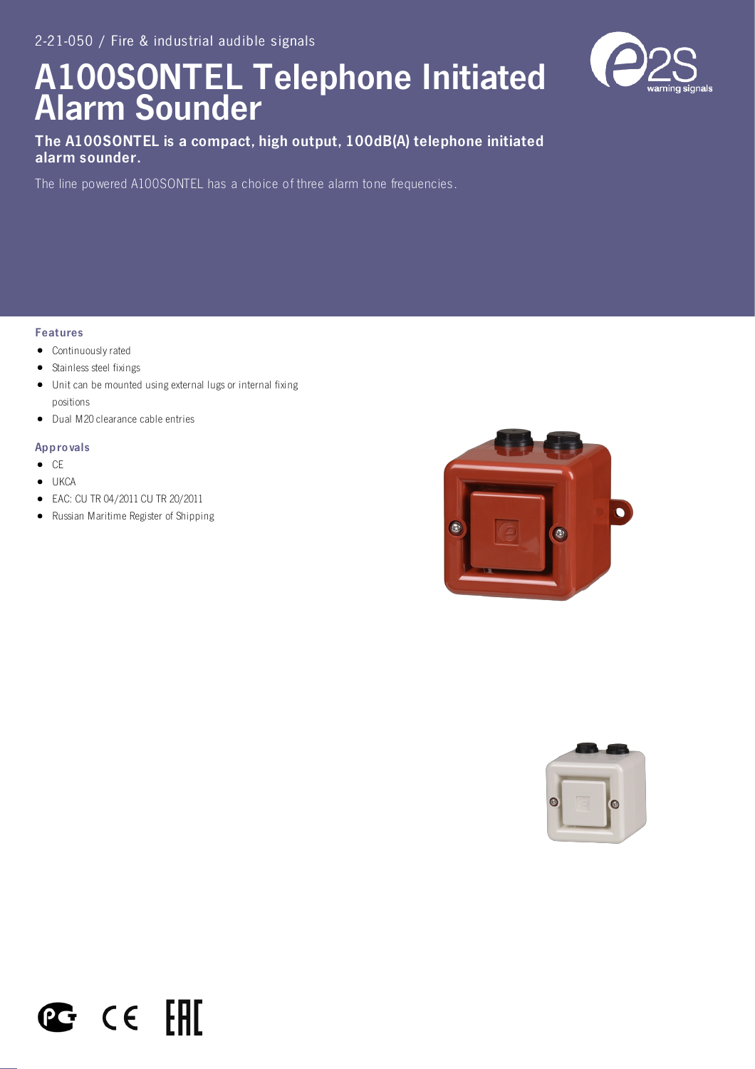# A100SONTEL Telephone Initiated Alarm Sounder



# The A100SONTEL is a compact, high output, 100dB(A) telephone initiated alarm sounder.

The line powered A100SONTEL has a choice of three alarm tone frequencies.

## Features

- **•** Continuously rated
- Stainless steel fixings
- Unit can be mounted using external lugs or internal fixing positions
- Dual M20 clearance cable entries

#### Appro vals

- $\bullet$  CE
- **UKCA**
- EAC: CU TR 04/2011 CU TR 20/2011
- Russian Maritime Register of Shipping

 $C \in FH$ 

**PG**